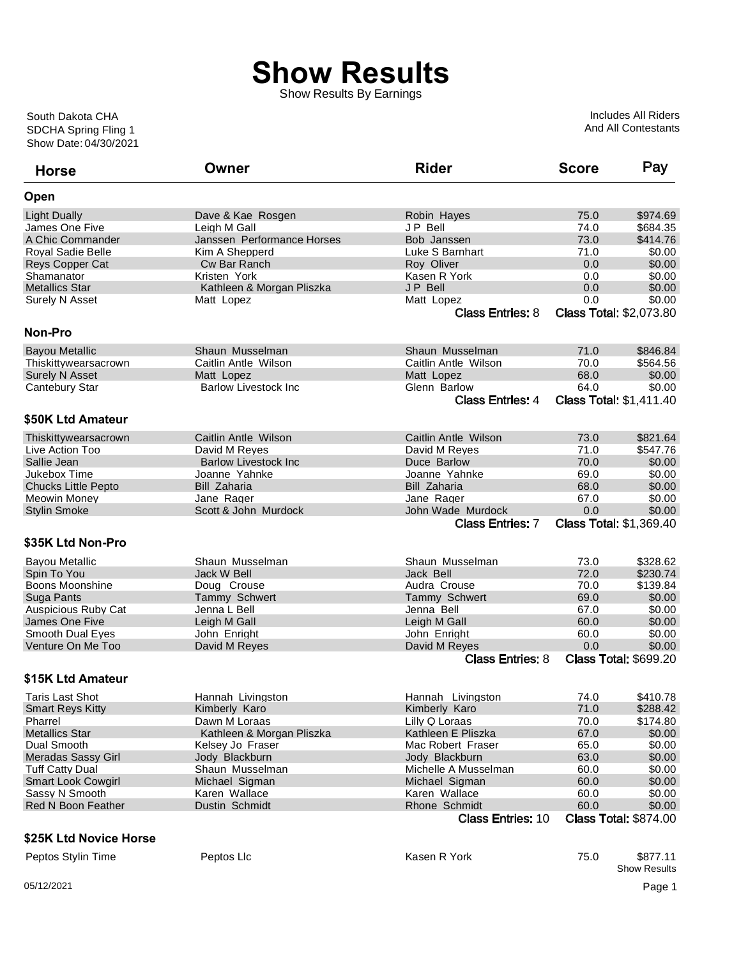Show Results By Earnings

Show Date: 04/30/2021 SDCHA Spring Fling 1 South Dakota CHA

Includes All Riders And All Contestants

| <b>Horse</b>               | Owner                        | <b>Rider</b>             | <b>Score</b> | Pay                             |
|----------------------------|------------------------------|--------------------------|--------------|---------------------------------|
| Open                       |                              |                          |              |                                 |
| <b>Light Dually</b>        | Dave & Kae Rosgen            | Robin Hayes              | 75.0         | \$974.69                        |
| James One Five             | Leigh M Gall                 | JP Bell                  | 74.0         | \$684.35                        |
| A Chic Commander           | Janssen Performance Horses   | Bob Janssen              | 73.0         | \$414.76                        |
| Royal Sadie Belle          | Kim A Shepperd               | Luke S Barnhart          | 71.0         | \$0.00                          |
| Reys Copper Cat            | Cw Bar Ranch                 | Roy Oliver               | 0.0          | \$0.00                          |
| Shamanator                 | Kristen York                 | Kasen R York             | 0.0          | \$0.00                          |
| <b>Metallics Star</b>      | Kathleen & Morgan Pliszka    | JP Bell                  | 0.0          | \$0.00                          |
| Surely N Asset             | Matt Lopez                   | Matt Lopez               | 0.0          | \$0.00                          |
|                            |                              | <b>Class Entries: 8</b>  |              | <b>Class Total: \$2,073.80</b>  |
| Non-Pro                    |                              |                          |              |                                 |
| <b>Bayou Metallic</b>      | Shaun Musselman              | Shaun Musselman          | 71.0         | \$846.84                        |
| Thiskittywearsacrown       | Caitlin Antle Wilson         | Caitlin Antle Wilson     | 70.0         | \$564.56                        |
| <b>Surely N Asset</b>      | Matt Lopez                   | Matt Lopez               | 68.0         | \$0.00                          |
|                            | <b>Barlow Livestock Inc</b>  | Glenn Barlow             | 64.0         | \$0.00                          |
| <b>Cantebury Star</b>      |                              |                          |              |                                 |
|                            |                              | <b>Class Entries: 4</b>  |              | <b>Class Total: \$1,411.40</b>  |
| \$50K Ltd Amateur          |                              |                          |              |                                 |
| Thiskittywearsacrown       | Caitlin Antle Wilson         | Caitlin Antle Wilson     | 73.0         | \$821.64                        |
| Live Action Too            | David M Reves                | David M Reyes            | 71.0         | \$547.76                        |
| Sallie Jean                | <b>Barlow Livestock Inc.</b> | Duce Barlow              | 70.0         | \$0.00                          |
| Jukebox Time               | Joanne Yahnke                | Joanne Yahnke            | 69.0         | \$0.00                          |
| <b>Chucks Little Pepto</b> | <b>Bill Zaharia</b>          | <b>Bill Zaharia</b>      | 68.0         | \$0.00                          |
| <b>Meowin Money</b>        | Jane Rager                   | Jane Rager               | 67.0         | \$0.00                          |
| <b>Stylin Smoke</b>        | Scott & John Murdock         | John Wade Murdock        | 0.0          | \$0.00                          |
|                            |                              | <b>Class Entries: 7</b>  |              | <b>Class Total: \$1,369.40</b>  |
| \$35K Ltd Non-Pro          |                              |                          |              |                                 |
| <b>Bayou Metallic</b>      | Shaun Musselman              | Shaun Musselman          | 73.0         | \$328.62                        |
| Spin To You                | Jack W Bell                  | Jack Bell                | 72.0         | \$230.74                        |
| Boons Moonshine            | Doug Crouse                  | Audra Crouse             | 70.0         | \$139.84                        |
|                            |                              |                          |              | \$0.00                          |
| Suga Pants                 | Tammy Schwert                | <b>Tammy Schwert</b>     | 69.0         |                                 |
| <b>Auspicious Ruby Cat</b> | Jenna L Bell                 | Jenna Bell               | 67.0         | \$0.00                          |
| James One Five             | Leigh M Gall                 | Leigh M Gall             | 60.0         | \$0.00                          |
| Smooth Dual Eyes           | John Enright                 | John Enright             | 60.0         | \$0.00                          |
| Venture On Me Too          | David M Reyes                | David M Reyes            | 0.0          | \$0.00                          |
|                            |                              | <b>Class Entries: 8</b>  |              | <b>Class Total: \$699.20</b>    |
| \$15K Ltd Amateur          |                              |                          |              |                                 |
| Taris Last Shot            | Hannah Livingston            | Hannah Livingston        | 74.0         | \$410.78                        |
| <b>Smart Reys Kitty</b>    | Kimberly Karo                | Kimberly Karo            | 71.0         | \$288.42                        |
| Pharrel                    | Dawn M Loraas                | Lilly Q Loraas           | 70.0         | \$174.80                        |
| <b>Metallics Star</b>      | Kathleen & Morgan Pliszka    | Kathleen E Pliszka       | 67.0         | \$0.00                          |
| Dual Smooth                | Kelsey Jo Fraser             | Mac Robert Fraser        | 65.0         | \$0.00                          |
| Meradas Sassy Girl         | Jody Blackburn               | Jody Blackburn           | 63.0         | \$0.00                          |
| <b>Tuff Catty Dual</b>     | Shaun Musselman              | Michelle A Musselman     | 60.0         | \$0.00                          |
| Smart Look Cowgirl         | Michael Sigman               | Michael Sigman           | 60.0         | \$0.00                          |
| Sassy N Smooth             | Karen Wallace                | Karen Wallace            | 60.0         | \$0.00                          |
| <b>Red N Boon Feather</b>  | Dustin Schmidt               | Rhone Schmidt            | 60.0         | \$0.00                          |
|                            |                              | <b>Class Entries: 10</b> |              | <b>Class Total: \$874.00</b>    |
| \$25K Ltd Novice Horse     |                              |                          |              |                                 |
| Peptos Stylin Time         | Peptos Llc                   | Kasen R York             | 75.0         | \$877.11<br><b>Show Results</b> |
| 05/12/2021                 |                              |                          |              | Page 1                          |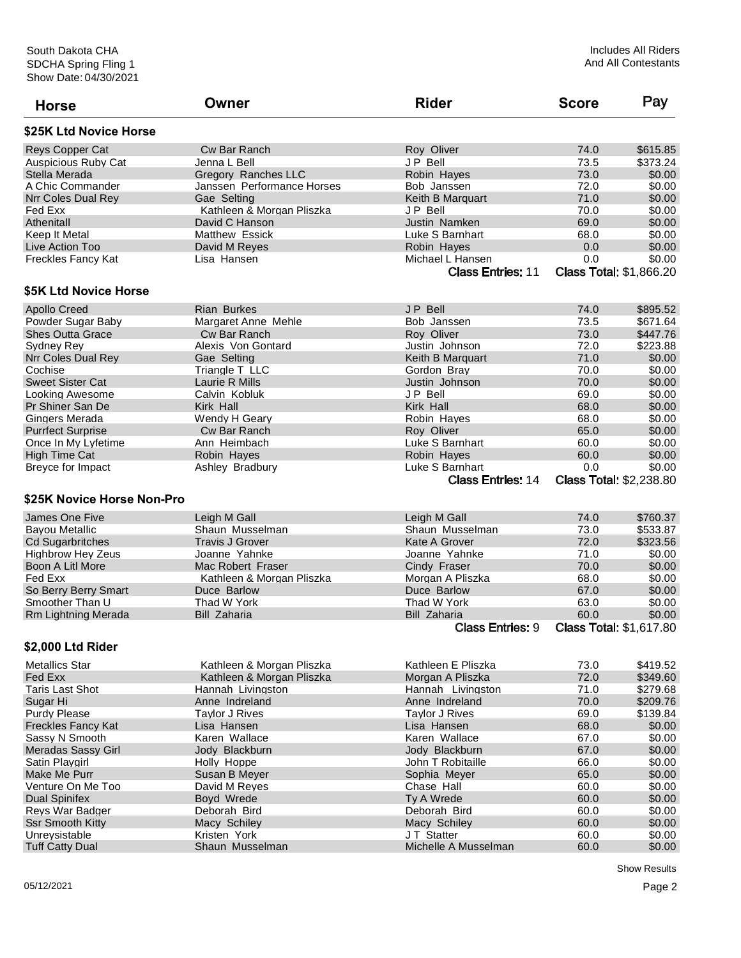| <b>Horse</b>               | Owner                      | <b>Rider</b>                                | <b>Score</b> | Pay                                      |
|----------------------------|----------------------------|---------------------------------------------|--------------|------------------------------------------|
| \$25K Ltd Novice Horse     |                            |                                             |              |                                          |
| Reys Copper Cat            | Cw Bar Ranch               | Roy Oliver                                  | 74.0         | \$615.85                                 |
| <b>Auspicious Ruby Cat</b> | Jenna L Bell               | <b>JP Bell</b>                              | 73.5         | \$373.24                                 |
| Stella Merada              | Gregory Ranches LLC        | Robin Hayes                                 | 73.0         | \$0.00                                   |
| A Chic Commander           | Janssen Performance Horses | Bob Janssen                                 | 72.0         | \$0.00                                   |
| Nrr Coles Dual Rey         | Gae Selting                | Keith B Marquart                            | 71.0         | \$0.00                                   |
| Fed Exx                    | Kathleen & Morgan Pliszka  | JP Bell                                     | 70.0         | \$0.00                                   |
| Athenitall                 | David C Hanson             | Justin Namken                               | 69.0         | \$0.00                                   |
| Keep It Metal              | <b>Matthew Essick</b>      | Luke S Barnhart                             | 68.0         | \$0.00                                   |
| Live Action Too            | David M Reyes              | Robin Hayes                                 | 0.0          | \$0.00                                   |
| <b>Freckles Fancy Kat</b>  | Lisa Hansen                | Michael L Hansen                            | 0.0          | \$0.00                                   |
|                            |                            | <b>Class Entries: 11</b>                    |              | <b>Class Total: \$1,866.20</b>           |
| \$5K Ltd Novice Horse      |                            |                                             |              |                                          |
| <b>Apollo Creed</b>        | <b>Rian Burkes</b>         | JP Bell                                     | 74.0         | \$895.52                                 |
| Powder Sugar Baby          | Margaret Anne Mehle        | Bob Janssen                                 | 73.5         | \$671.64                                 |
| <b>Shes Outta Grace</b>    | Cw Bar Ranch               | Roy Oliver                                  | 73.0         | \$447.76                                 |
| Sydney Rey                 | Alexis Von Gontard         | Justin Johnson                              | 72.0         | \$223.88                                 |
| Nrr Coles Dual Rey         | Gae Selting                | Keith B Marquart                            | 71.0         | \$0.00                                   |
| Cochise                    | Triangle T LLC             | Gordon Brav                                 | 70.0         | \$0.00                                   |
| <b>Sweet Sister Cat</b>    | Laurie R Mills             | Justin Johnson                              | 70.0         | \$0.00                                   |
| Looking Awesome            | Calvin Kobluk              | JP Bell                                     | 69.0         | \$0.00                                   |
| Pr Shiner San De           | Kirk Hall                  | Kirk Hall                                   | 68.0         | \$0.00                                   |
| Gingers Merada             | Wendy H Geary              | Robin Hayes                                 | 68.0         | \$0.00                                   |
|                            | Cw Bar Ranch               |                                             | 65.0         | \$0.00                                   |
| <b>Purrfect Surprise</b>   |                            | Roy Oliver                                  |              |                                          |
| Once In My Lyfetime        | Ann Heimbach               | Luke S Barnhart                             | 60.0         | \$0.00                                   |
| <b>High Time Cat</b>       | Robin Hayes                | Robin Hayes                                 | 60.0         | \$0.00                                   |
| Breyce for Impact          | Ashley Bradbury            | Luke S Barnhart<br><b>Class Entries: 14</b> | 0.0          | \$0.00<br><b>Class Total: \$2,238.80</b> |
| \$25K Novice Horse Non-Pro |                            |                                             |              |                                          |
| James One Five             | Leigh M Gall               | Leigh M Gall                                | 74.0         | \$760.37                                 |
| <b>Bayou Metallic</b>      | Shaun Musselman            | Shaun Musselman                             | 73.0         | \$533.87                                 |
| <b>Cd Sugarbritches</b>    | <b>Travis J Grover</b>     | Kate A Grover                               | 72.0         | \$323.56                                 |
| <b>Highbrow Hey Zeus</b>   | Joanne Yahnke              | Joanne Yahnke                               | 71.0         | \$0.00                                   |
| Boon A Litl More           | Mac Robert Fraser          | Cindy Fraser                                | 70.0         | \$0.00                                   |
| Fed Exx                    | Kathleen & Morgan Pliszka  | Morgan A Pliszka                            | 68.0         | \$0.00                                   |
| So Berry Berry Smart       | Duce Barlow                | Duce Barlow                                 | 67.0         | \$0.00                                   |
| Smoother Than U            | Thad W York                | Thad W York                                 | 63.0         | \$0.00                                   |
|                            | <b>Bill Zaharia</b>        | <b>Bill Zaharia</b>                         | 60.0         | \$0.00                                   |
| Rm Lightning Merada        |                            |                                             |              |                                          |
|                            |                            | <b>Class Entries: 9</b>                     |              | <b>Class Total: \$1,617.80</b>           |
| \$2,000 Ltd Rider          |                            |                                             |              |                                          |
| <b>Metallics Star</b>      | Kathleen & Morgan Pliszka  | Kathleen E Pliszka                          | 73.0         | \$419.52                                 |
| Fed Exx                    | Kathleen & Morgan Pliszka  | Morgan A Pliszka                            | 72.0         | \$349.60                                 |
| <b>Taris Last Shot</b>     | Hannah Livingston          | Hannah Livingston                           | 71.0         | \$279.68                                 |
| Sugar Hi                   | Anne Indreland             | Anne Indreland                              | 70.0         | \$209.76                                 |
| <b>Purdy Please</b>        | Taylor J Rives             | <b>Taylor J Rives</b>                       | 69.0         | \$139.84                                 |
| <b>Freckles Fancy Kat</b>  | Lisa Hansen                | Lisa Hansen                                 | 68.0         | \$0.00                                   |
| Sassy N Smooth             | Karen Wallace              | Karen Wallace                               | 67.0         | \$0.00                                   |
| <b>Meradas Sassy Girl</b>  | Jody Blackburn             | Jody Blackburn                              | 67.0         | \$0.00                                   |
| Satin Playgirl             | Holly Hoppe                | John T Robitaille                           | 66.0         | \$0.00                                   |
| Make Me Purr               | Susan B Meyer              | Sophia Meyer                                | 65.0         | \$0.00                                   |
| Venture On Me Too          | David M Reyes              | Chase Hall                                  | 60.0         | \$0.00                                   |
| <b>Dual Spinifex</b>       | Boyd Wrede                 | Ty A Wrede                                  | 60.0         | \$0.00                                   |
| Reys War Badger            | Deborah Bird               | Deborah Bird                                | 60.0         | \$0.00                                   |
| <b>Ssr Smooth Kitty</b>    | Macy Schiley               | Macy Schiley                                | 60.0         | \$0.00                                   |
| Unreysistable              | Kristen York               | JT Statter                                  | 60.0         | \$0.00                                   |
| <b>Tuff Catty Dual</b>     | Shaun Musselman            | Michelle A Musselman                        | 60.0         | \$0.00                                   |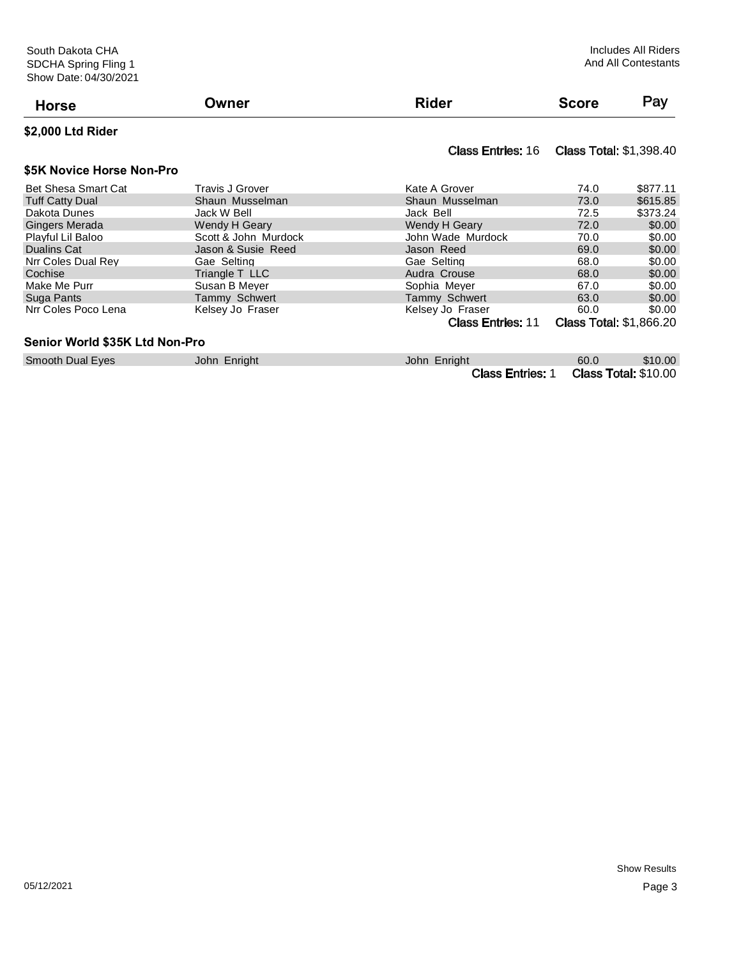|                            | Owner                  | <b>Rider</b>                              | <b>Score</b> | Pay      |
|----------------------------|------------------------|-------------------------------------------|--------------|----------|
| <b>Horse</b>               |                        |                                           |              |          |
| \$2,000 Ltd Rider          |                        |                                           |              |          |
|                            |                        | Class Entries: 16 Class Total: \$1,398.40 |              |          |
| \$5K Novice Horse Non-Pro  |                        |                                           |              |          |
| <b>Bet Shesa Smart Cat</b> | <b>Travis J Grover</b> | Kate A Grover                             | 74.0         | \$877.11 |
| <b>Tuff Catty Dual</b>     | Shaun Musselman        | Shaun Musselman                           | 73.0         | \$615.85 |
| - - -                      | .                      |                                           | -- -         | $\cdots$ |

| $.911$ $.941$         | ------------------------ | ----------------------   | .                              | $\mathsf{v}\mathsf{v}\mathsf{v}\mathsf{v}$ |
|-----------------------|--------------------------|--------------------------|--------------------------------|--------------------------------------------|
| Dakota Dunes          | Jack W Bell              | Jack Bell                | 72.5                           | \$373.24                                   |
| <b>Gingers Merada</b> | Wendy H Geary            | Wendy H Geary            | 72.0                           | \$0.00                                     |
| Playful Lil Baloo     | Scott & John Murdock     | John Wade Murdock        | 70.0                           | \$0.00                                     |
| Dualins Cat           | Jason & Susie Reed       | Jason Reed               | 69.0                           | \$0.00                                     |
| Nrr Coles Dual Rev    | Gae Selting              | Gae Selting              | 68.0                           | \$0.00                                     |
| Cochise               | Triangle T LLC           | Audra Crouse             | 68.0                           | \$0.00                                     |
| Make Me Purr          | Susan B Meyer            | Sophia Meyer             | 67.0                           | \$0.00                                     |
| Suga Pants            | Tammy Schwert            | Tammy Schwert            | 63.0                           | \$0.00                                     |
| Nrr Coles Poco Lena   | Kelsey Jo Fraser         | Kelsey Jo Fraser         | 60.0                           | \$0.00                                     |
|                       |                          | <b>Class Entries: 11</b> | <b>Class Total: \$1,866.20</b> |                                            |

#### **Senior World \$35K Ltd Non-Pro**

| Smooth Dual Eyes | John Enright | John Enright                          | 60.0 | \$10.00 |
|------------------|--------------|---------------------------------------|------|---------|
|                  |              | Class Entries: 1 Class Total: \$10.00 |      |         |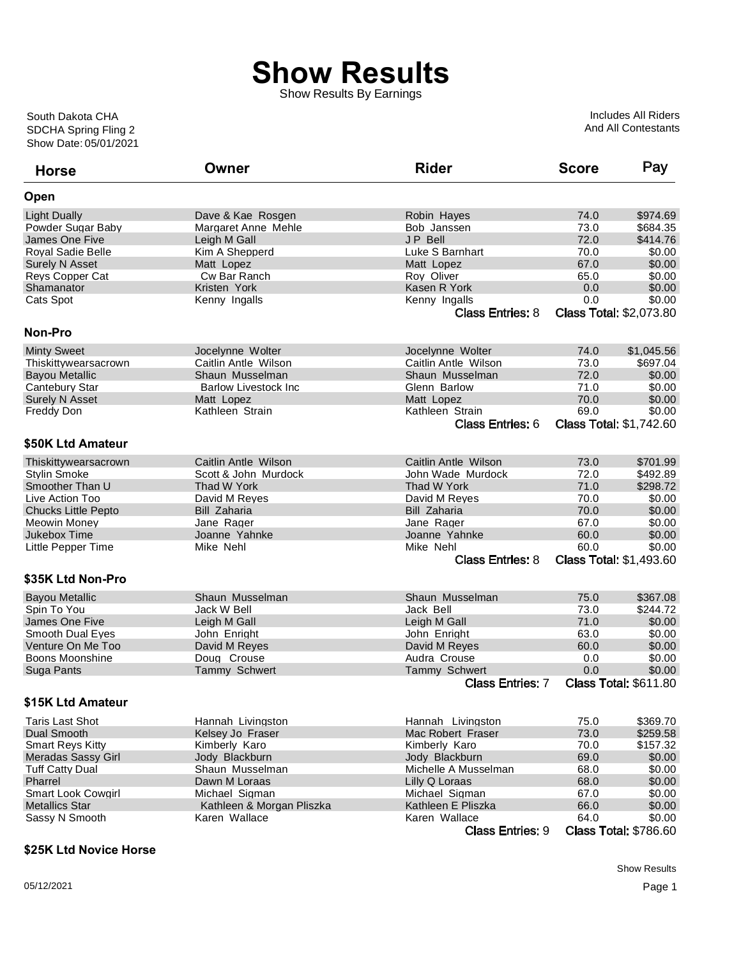Show Results By Earnings

Show Date: 05/01/2021 SDCHA Spring Fling 2 South Dakota CHA

Includes All Riders And All Contestants

| <b>Horse</b>               | Owner                        | <b>Rider</b>            | <b>Score</b> | Pay                            |
|----------------------------|------------------------------|-------------------------|--------------|--------------------------------|
| Open                       |                              |                         |              |                                |
| <b>Light Dually</b>        | Dave & Kae Rosgen            | Robin Hayes             | 74.0         | \$974.69                       |
| Powder Sugar Baby          | Margaret Anne Mehle          | Bob Janssen             | 73.0         | \$684.35                       |
| James One Five             | Leigh M Gall                 | <b>JP Bell</b>          | 72.0         | \$414.76                       |
| <b>Royal Sadie Belle</b>   | Kim A Shepperd               | Luke S Barnhart         | 70.0         | \$0.00                         |
| <b>Surely N Asset</b>      | Matt Lopez                   | Matt Lopez              | 67.0         | \$0.00                         |
| <b>Reys Copper Cat</b>     | Cw Bar Ranch                 | Roy Oliver              | 65.0         | \$0.00                         |
| Shamanator                 | Kristen York                 | Kasen R York            | 0.0          | \$0.00                         |
| Cats Spot                  | Kenny Ingalls                | Kenny Ingalls           | 0.0          | \$0.00                         |
|                            |                              | <b>Class Entries: 8</b> |              | <b>Class Total: \$2,073.80</b> |
| Non-Pro                    |                              |                         |              |                                |
| <b>Minty Sweet</b>         | Jocelynne Wolter             | Jocelynne Wolter        | 74.0         | \$1,045.56                     |
| Thiskittywearsacrown       | Caitlin Antle Wilson         | Caitlin Antle Wilson    | 73.0         | \$697.04                       |
| <b>Bayou Metallic</b>      | Shaun Musselman              | Shaun Musselman         | 72.0         | \$0.00                         |
| Cantebury Star             | <b>Barlow Livestock Inc.</b> | Glenn Barlow            | 71.0         | \$0.00                         |
| <b>Surely N Asset</b>      | Matt Lopez                   | Matt Lopez              | 70.0         | \$0.00                         |
| <b>Freddy Don</b>          | Kathleen Strain              | Kathleen Strain         | 69.0         | \$0.00                         |
|                            |                              | <b>Class Entries: 6</b> |              | <b>Class Total: \$1,742.60</b> |
| \$50K Ltd Amateur          |                              |                         |              |                                |
| Thiskittywearsacrown       | Caitlin Antle Wilson         | Caitlin Antle Wilson    | 73.0         | \$701.99                       |
| <b>Stylin Smoke</b>        | Scott & John Murdock         | John Wade Murdock       | 72.0         | \$492.89                       |
| Smoother Than U            | Thad W York                  | Thad W York             | 71.0         | \$298.72                       |
| Live Action Too            | David M Reyes                | David M Reyes           | 70.0         | \$0.00                         |
| <b>Chucks Little Pepto</b> | <b>Bill Zaharia</b>          | Bill Zaharia            | 70.0         | \$0.00                         |
| <b>Meowin Money</b>        | Jane Rager                   | Jane Rager              | 67.0         | \$0.00                         |
| Jukebox Time               | Joanne Yahnke                | Joanne Yahnke           | 60.0         | \$0.00                         |
| Little Pepper Time         | Mike Nehl                    | Mike Nehl               | 60.0         | \$0.00                         |
|                            |                              | <b>Class Entries: 8</b> |              | <b>Class Total: \$1,493.60</b> |
| \$35K Ltd Non-Pro          |                              |                         |              |                                |
|                            |                              |                         |              |                                |
| <b>Bayou Metallic</b>      | Shaun Musselman              | Shaun Musselman         | 75.0         | \$367.08                       |
| Spin To You                | Jack W Bell                  | Jack Bell               | 73.0         | \$244.72                       |
| James One Five             | Leigh M Gall                 | Leigh M Gall            | 71.0         | \$0.00                         |
| Smooth Dual Eyes           | John Enright                 | John Enright            | 63.0         | \$0.00                         |
| Venture On Me Too          | David M Reyes                | David M Reyes           | 60.0         | \$0.00                         |
| Boons Moonshine            | Doug Crouse                  | Audra Crouse            | 0.0          | \$0.00                         |
| Suga Pants                 | Tammy Schwert                | <b>Tammy Schwert</b>    | 0.0          | \$0.00                         |
|                            |                              | <b>Class Entries: 7</b> |              | <b>Class Total: \$611.80</b>   |
| \$15K Ltd Amateur          |                              |                         |              |                                |
| <b>Taris Last Shot</b>     | Hannah Livingston            | Hannah Livingston       | 75.0         | \$369.70                       |
| Dual Smooth                | Kelsey Jo Fraser             | Mac Robert Fraser       | 73.0         | \$259.58                       |
| <b>Smart Reys Kitty</b>    | Kimberly Karo                | Kimberly Karo           | 70.0         | \$157.32                       |
| <b>Meradas Sassy Girl</b>  | Jody Blackburn               | Jody Blackburn          | 69.0         | \$0.00                         |
| <b>Tuff Catty Dual</b>     | Shaun Musselman              | Michelle A Musselman    | 68.0         | \$0.00                         |
| Pharrel                    | Dawn M Loraas                | Lilly Q Loraas          | 68.0         | \$0.00                         |
| Smart Look Cowgirl         | Michael Sigman               | Michael Sigman          | 67.0         | \$0.00                         |
| <b>Metallics Star</b>      | Kathleen & Morgan Pliszka    | Kathleen E Pliszka      | 66.0         | \$0.00                         |
| Sassy N Smooth             | Karen Wallace                | Karen Wallace           | 64.0         | \$0.00                         |
|                            |                              | <b>Class Entries: 9</b> |              | <b>Class Total: \$786.60</b>   |

#### **\$25K Ltd Novice Horse**

Show Results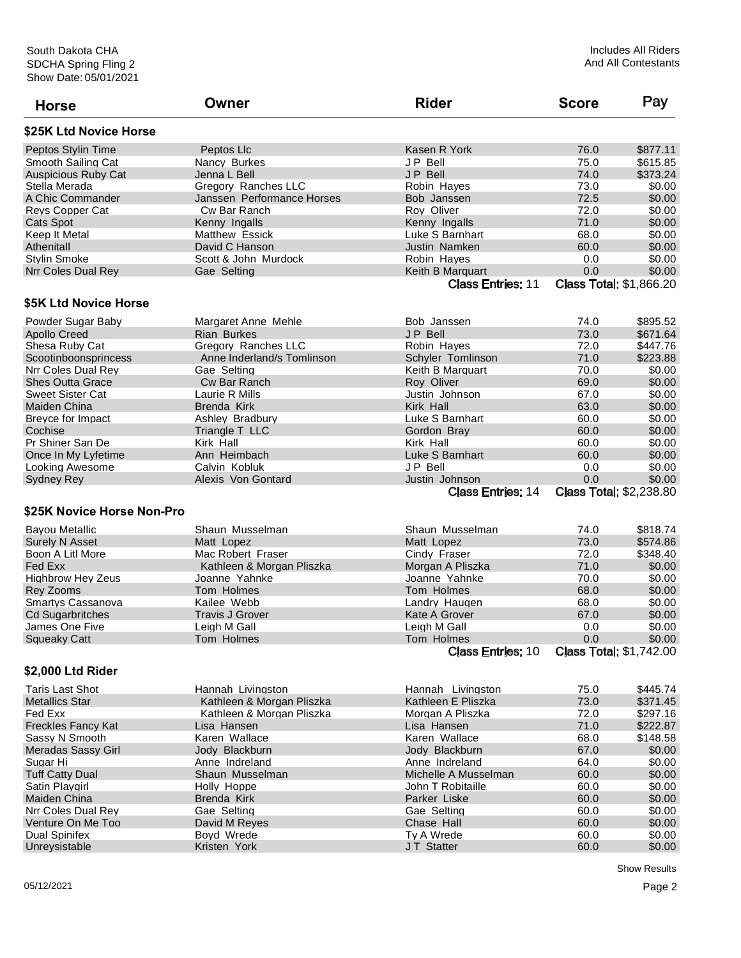| <b>Horse</b>               | Owner                      | <b>Rider</b>             | <b>Score</b>                   | Pay                            |
|----------------------------|----------------------------|--------------------------|--------------------------------|--------------------------------|
| \$25K Ltd Novice Horse     |                            |                          |                                |                                |
| Peptos Stylin Time         | Peptos Llc                 | Kasen R York             | 76.0                           | \$877.11                       |
| Smooth Sailing Cat         | Nancy Burkes               | JP Bell                  | 75.0                           | \$615.85                       |
| <b>Auspicious Ruby Cat</b> | Jenna L Bell               | JP Bell                  | 74.0                           | \$373.24                       |
| Stella Merada              | Gregory Ranches LLC        | Robin Hayes              | 73.0                           | \$0.00                         |
| A Chic Commander           | Janssen Performance Horses | Bob Janssen              | 72.5                           | \$0.00                         |
| <b>Revs Copper Cat</b>     | Cw Bar Ranch               | Roy Oliver               | 72.0                           | \$0.00                         |
| Cats Spot                  | Kenny Ingalls              | Kenny Ingalls            | 71.0                           | \$0.00                         |
| Keep It Metal              | Matthew Essick             | Luke S Barnhart          | 68.0                           | \$0.00                         |
| Athenitall                 | David C Hanson             | Justin Namken            | 60.0                           | \$0.00                         |
| <b>Stylin Smoke</b>        | Scott & John Murdock       | Robin Hayes              | 0.0                            | \$0.00                         |
| Nrr Coles Dual Rey         | Gae Selting                | Keith B Marquart         | 0.0                            | \$0.00                         |
|                            |                            | <b>Class Entries: 11</b> |                                | <b>Class Total: \$1,866.20</b> |
| \$5K Ltd Novice Horse      |                            |                          |                                |                                |
|                            |                            |                          |                                |                                |
| Powder Sugar Baby          | Margaret Anne Mehle        | Bob Janssen              | 74.0                           | \$895.52                       |
| <b>Apollo Creed</b>        | <b>Rian Burkes</b>         | JP Bell                  | 73.0                           | \$671.64                       |
| Shesa Ruby Cat             | Gregory Ranches LLC        | Robin Hayes              | 72.0                           | \$447.76                       |
| Scootinboonsprincess       | Anne Inderland/s Tomlinson | Schyler Tomlinson        | 71.0                           | \$223.88                       |
| Nrr Coles Dual Rey         | Gae Selting                | Keith B Marguart         | 70.0                           | \$0.00                         |
| <b>Shes Outta Grace</b>    | Cw Bar Ranch               | Roy Oliver               | 69.0                           | \$0.00                         |
| <b>Sweet Sister Cat</b>    | Laurie R Mills             | Justin Johnson           | 67.0                           | \$0.00                         |
| Maiden China               | Brenda Kirk                | Kirk Hall                | 63.0                           | \$0.00                         |
| Breyce for Impact          | Ashley Bradbury            | Luke S Barnhart          | 60.0                           | \$0.00                         |
| Cochise                    | Triangle T LLC             | Gordon Bray              | 60.0                           | \$0.00                         |
| Pr Shiner San De           | Kirk Hall                  | Kirk Hall                | 60.0                           | \$0.00                         |
| Once In My Lyfetime        | Ann Heimbach               | Luke S Barnhart          | 60.0                           | \$0.00                         |
| Looking Awesome            | Calvin Kobluk              | JP Bell                  | 0.0                            | \$0.00                         |
| <b>Sydney Rey</b>          | Alexis Von Gontard         | Justin Johnson           | 0.0                            | \$0.00                         |
|                            |                            | <b>Class Entries: 14</b> | <b>Class Total: \$2,238.80</b> |                                |
| \$25K Novice Horse Non-Pro |                            |                          |                                |                                |
| <b>Bavou Metallic</b>      | Shaun Musselman            | Shaun Musselman          | 74.0                           | \$818.74                       |
| <b>Surely N Asset</b>      | Matt Lopez                 | Matt Lopez               | 73.0                           | \$574.86                       |
| Boon A Litl More           | Mac Robert Fraser          | Cindy Fraser             | 72.0                           | \$348.40                       |
| Fed Exx                    | Kathleen & Morgan Pliszka  | Morgan A Pliszka         | 71.0                           | \$0.00                         |
| <b>Highbrow Hey Zeus</b>   | Joanne Yahnke              | Joanne Yahnke            | 70.0                           | \$0.00                         |
| <b>Rey Zooms</b>           | Tom Holmes                 | Tom Holmes               | 68.0                           | \$0.00                         |
| Smartys Cassanova          | Kailee Webb                | Landry Haugen            | 68.0                           | \$0.00                         |
| <b>Cd Sugarbritches</b>    | <b>Travis J Grover</b>     | Kate A Grover            | 67.0                           | \$0.00                         |
| James One Five             | Leigh M Gall               | Leigh M Gall             | 0.0                            | \$0.00                         |
| <b>Squeaky Catt</b>        | Tom Holmes                 | Tom Holmes               | 0.0                            | \$0.00                         |
|                            |                            | <b>Class Entries: 10</b> | <b>Class Total: \$1,742.00</b> |                                |
| \$2,000 Ltd Rider          |                            |                          |                                |                                |
| <b>Taris Last Shot</b>     | Hannah Livingston          | Hannah Livingston        | 75.0                           | \$445.74                       |
| <b>Metallics Star</b>      | Kathleen & Morgan Pliszka  | Kathleen E Pliszka       | 73.0                           | \$371.45                       |
| Fed Exx                    | Kathleen & Morgan Pliszka  | Morgan A Pliszka         | 72.0                           | \$297.16                       |
| <b>Freckles Fancy Kat</b>  | Lisa Hansen                | Lisa Hansen              | 71.0                           | \$222.87                       |
| Sassy N Smooth             | Karen Wallace              | Karen Wallace            | 68.0                           | \$148.58                       |
| <b>Meradas Sassy Girl</b>  | Jody Blackburn             | Jody Blackburn           | 67.0                           | \$0.00                         |
| Sugar Hi                   | Anne Indreland             | Anne Indreland           | 64.0                           | \$0.00                         |
| <b>Tuff Catty Dual</b>     | Shaun Musselman            | Michelle A Musselman     | 60.0                           | \$0.00                         |
| Satin Playgirl             | Holly Hoppe                | John T Robitaille        | 60.0                           | \$0.00                         |
| Maiden China               | Brenda Kirk                | Parker Liske             | 60.0                           | \$0.00                         |
| Nrr Coles Dual Rey         | Gae Selting                | Gae Selting              | 60.0                           | \$0.00                         |
| Venture On Me Too          | David M Reyes              | Chase Hall               | 60.0                           | \$0.00                         |
| <b>Dual Spinifex</b>       | Boyd Wrede                 | Ty A Wrede               | 60.0                           | \$0.00                         |
| Unreysistable              | Kristen York               | JT Statter               | 60.0                           | \$0.00                         |
|                            |                            |                          |                                |                                |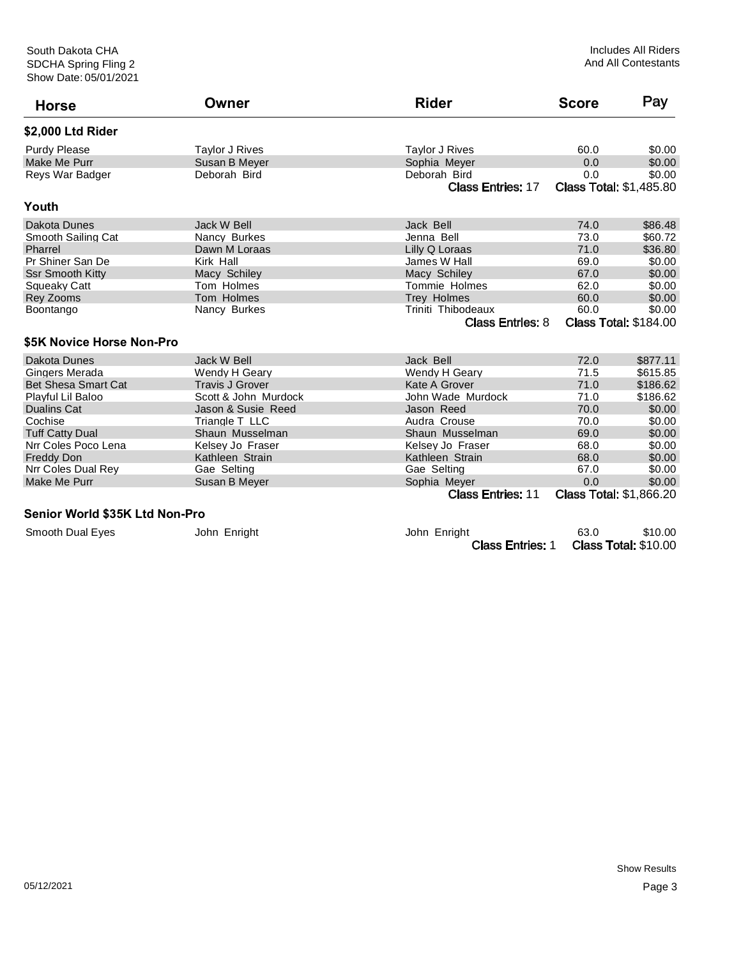| <b>Horse</b>                   | Owner                 | <b>Rider</b>             | <b>Score</b>                   | Pay                          |
|--------------------------------|-----------------------|--------------------------|--------------------------------|------------------------------|
| \$2,000 Ltd Rider              |                       |                          |                                |                              |
| <b>Purdy Please</b>            | <b>Taylor J Rives</b> | <b>Taylor J Rives</b>    | 60.0                           | \$0.00                       |
| <b>Make Me Purr</b>            | Susan B Meyer         | Sophia Meyer             | 0.0                            | \$0.00                       |
| Reys War Badger                | Deborah Bird          | Deborah Bird             | 0.0                            | \$0.00                       |
|                                |                       | <b>Class Entries: 17</b> | <b>Class Total: \$1,485.80</b> |                              |
| Youth                          |                       |                          |                                |                              |
| Dakota Dunes                   | Jack W Bell           | Jack Bell                | 74.0                           | \$86.48                      |
| Smooth Sailing Cat             | Nancy Burkes          | Jenna Bell               | 73.0                           | \$60.72                      |
| Pharrel                        | Dawn M Loraas         | Lilly Q Loraas           | 71.0                           | \$36.80                      |
| Pr Shiner San De               | Kirk Hall             | James W Hall             | 69.0                           | \$0.00                       |
| <b>Ssr Smooth Kitty</b>        | Macy Schiley          | Macy Schiley             | 67.0                           | \$0.00                       |
| Squeaky Catt                   | Tom Holmes            | <b>Tommie Holmes</b>     | 62.0                           | \$0.00                       |
| <b>Rey Zooms</b>               | Tom Holmes            | Trey Holmes              | 60.0                           | \$0.00                       |
| Boontango                      | Nancy Burkes          | Triniti Thibodeaux       | 60.0                           | \$0.00                       |
|                                |                       | <b>Class Entries: 8</b>  |                                | <b>Class Total: \$184.00</b> |
| \$5K Novice Horse Non-Pro      |                       |                          |                                |                              |
| Dakota Dunes                   | Jack W Bell           | Jack Bell                | 72.0                           | \$877.11                     |
| Gingers Merada                 | Wendy H Geary         | Wendy H Geary            | 71.5                           | \$615.85                     |
| Bet Shesa Smart Cat            | Travis J Grover       | Kate A Grover            | 71.0                           | \$186.62                     |
| Playful Lil Baloo              | Scott & John Murdock  | John Wade Murdock        | 71.0                           | \$186.62                     |
| Dualins Cat                    | Jason & Susie Reed    | Jason Reed               | 70.0                           | \$0.00                       |
| Cochise                        | Triangle T LLC        | Audra Crouse             | 70.0                           | \$0.00                       |
| <b>Tuff Catty Dual</b>         | Shaun Musselman       | Shaun Musselman          | 69.0                           | \$0.00                       |
| Nrr Coles Poco Lena            | Kelsey Jo Fraser      | Kelsey Jo Fraser         | 68.0                           | \$0.00                       |
| <b>Freddy Don</b>              | Kathleen Strain       | Kathleen Strain          | 68.0                           | \$0.00                       |
| Nrr Coles Dual Rey             | Gae Selting           | Gae Selting              | 67.0                           | \$0.00                       |
| Make Me Purr                   | Susan B Meyer         | Sophia Meyer             | 0.0                            | \$0.00                       |
|                                |                       | <b>Class Entries: 11</b> | <b>Class Total: \$1,866.20</b> |                              |
| Senior World \$35K Ltd Non-Pro |                       |                          |                                |                              |

Smooth Dual Eyes John Enright John Enright John Enright 63.0 \$10.00<br>Class Entries: 1 Class Total: \$10.00 Class Total: \$10.00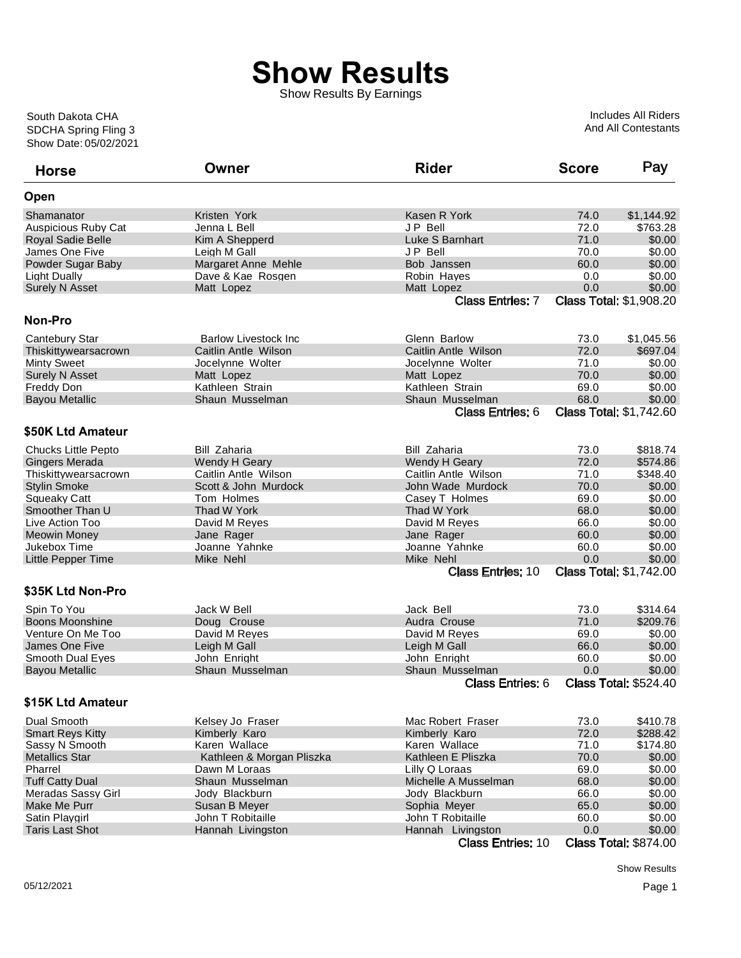Show Results By Earnings

Show Date: 05/02/2021 SDCHA Spring Fling 3 South Dakota CHA

Includes All Riders And All Contestants

| <b>Horse</b>                          | Owner                        | <b>Rider</b>                  | <b>Score</b> | Pay                            |
|---------------------------------------|------------------------------|-------------------------------|--------------|--------------------------------|
| Open                                  |                              |                               |              |                                |
| Shamanator                            | Kristen York                 | Kasen R York                  | 74.0         | \$1,144.92                     |
| <b>Auspicious Ruby Cat</b>            | Jenna L Bell                 | JP Bell                       | 72.0         | \$763.28                       |
| Royal Sadie Belle                     | Kim A Shepperd               | Luke S Barnhart               | 71.0         | \$0.00                         |
| James One Five                        | Leigh M Gall                 | JP Bell                       | 70.0         | \$0.00                         |
| Powder Sugar Baby                     | Margaret Anne Mehle          | Bob Janssen                   | 60.0         | \$0.00                         |
| Light Dually                          | Dave & Kae Rosgen            | Robin Hayes                   | 0.0          | \$0.00                         |
| <b>Surely N Asset</b>                 | Matt Lopez                   | Matt Lopez                    | 0.0          | \$0.00                         |
|                                       |                              | <b>Class Entries: 7</b>       |              | <b>Class Total: \$1,908.20</b> |
| <b>Non-Pro</b>                        |                              |                               |              |                                |
| Cantebury Star                        | <b>Barlow Livestock Inc</b>  | Glenn Barlow                  | 73.0         | \$1,045.56                     |
| Thiskittywearsacrown                  | Caitlin Antle Wilson         | Caitlin Antle Wilson          | 72.0         | \$697.04                       |
| <b>Minty Sweet</b>                    | Jocelynne Wolter             | Jocelynne Wolter              | 71.0         | \$0.00                         |
| <b>Surely N Asset</b>                 | Matt Lopez                   | Matt Lopez                    | 70.0         | \$0.00                         |
| Freddy Don                            | Kathleen Strain              | Kathleen Strain               | 69.0         | \$0.00                         |
| <b>Bayou Metallic</b>                 | Shaun Musselman              | Shaun Musselman               | 68.0         | \$0.00                         |
|                                       |                              | <b>Class Entries: 6</b>       |              | <b>Class Total: \$1,742.60</b> |
| \$50K Ltd Amateur                     |                              |                               |              |                                |
| Chucks Little Pepto                   | <b>Bill Zaharia</b>          | <b>Bill Zaharia</b>           | 73.0         | \$818.74                       |
| Gingers Merada                        | Wendy H Geary                | Wendy H Geary                 | 72.0         | \$574.86                       |
| Thiskittywearsacrown                  | Caitlin Antle Wilson         | Caitlin Antle Wilson          | 71.0         | \$348.40                       |
| <b>Stylin Smoke</b>                   | Scott & John Murdock         | John Wade Murdock             | 70.0         | \$0.00                         |
| <b>Squeaky Catt</b>                   | Tom Holmes                   | Casey T Holmes                | 69.0         | \$0.00                         |
| Smoother Than U                       | Thad W York                  | Thad W York                   | 68.0         | \$0.00                         |
| Live Action Too                       | David M Reyes                | David M Reyes                 | 66.0         | \$0.00                         |
| <b>Meowin Money</b>                   | Jane Rager                   | Jane Rager                    | 60.0         | \$0.00                         |
| Jukebox Time                          | Joanne Yahnke                | Joanne Yahnke                 | 60.0         | \$0.00                         |
|                                       | Mike Nehl                    | Mike Nehl                     | 0.0          | \$0.00                         |
| <b>Little Pepper Time</b>             |                              | <b>Class Entries: 10</b>      |              | <b>Class Total: \$1,742.00</b> |
| \$35K Ltd Non-Pro                     |                              |                               |              |                                |
|                                       | Jack W Bell                  | Jack Bell                     | 73.0         | \$314.64                       |
| Spin To You<br><b>Boons Moonshine</b> |                              |                               | 71.0         | \$209.76                       |
| Venture On Me Too                     | Doug Crouse                  | Audra Crouse<br>David M Reyes | 69.0         | \$0.00                         |
| James One Five                        | David M Reyes                |                               | 66.0         | \$0.00                         |
| Smooth Dual Eyes                      | Leigh M Gall<br>John Enright | Leigh M Gall<br>John Enright  | 60.0         | \$0.00                         |
|                                       | Shaun Musselman              | Shaun Musselman               | 0.0          | \$0.00                         |
| <b>Bayou Metallic</b>                 |                              | <b>Class Entries: 6</b>       |              | <b>Class Total: \$524.40</b>   |
| \$15K Ltd Amateur                     |                              |                               |              |                                |
|                                       |                              |                               |              |                                |
| Dual Smooth                           | Kelsey Jo Fraser             | Mac Robert Fraser             | 73.0         | \$410.78                       |
| <b>Smart Reys Kitty</b>               | Kimberly Karo                | Kimberly Karo                 | 72.0         | \$288.42                       |
| Sassy N Smooth                        | Karen Wallace                | Karen Wallace                 | 71.0         | \$174.80                       |
| <b>Metallics Star</b>                 | Kathleen & Morgan Pliszka    | Kathleen E Pliszka            | 70.0         | \$0.00                         |
| Pharrel                               | Dawn M Loraas                | Lilly Q Loraas                | 69.0         | \$0.00                         |
| <b>Tuff Catty Dual</b>                | Shaun Musselman              | Michelle A Musselman          | 68.0         | \$0.00                         |
| Meradas Sassy Girl                    | Jody Blackburn               | Jody Blackburn                | 66.0         | \$0.00                         |
| Make Me Purr                          | Susan B Meyer                | Sophia Meyer                  | 65.0         | \$0.00                         |
| Satin Playgirl                        | John T Robitaille            | John T Robitaille             | 60.0         | \$0.00                         |
| <b>Taris Last Shot</b>                | Hannah Livingston            | Hannah Livingston             | 0.0          | \$0.00                         |
|                                       |                              | <b>Class Entries: 10</b>      |              | <b>Class Total: \$874.00</b>   |

Show Results